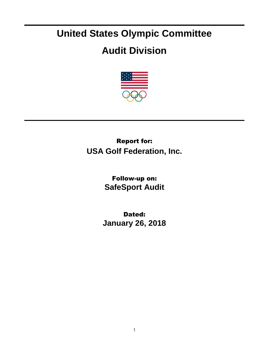## **United States Olympic Committee**

## **Audit Division**



## Report for: **USA Golf Federation, Inc.**

Follow-up on: **SafeSport Audit**

Dated: **January 26, 2018**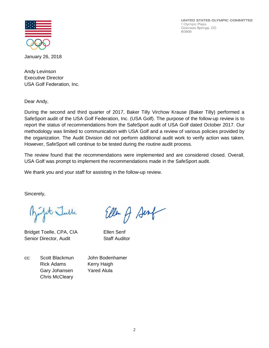UNITED STATES OLYMPIC COMMITTEE 1 Olympic Plaza Colorado Springs, CO 80909



January 26, 2018

Andy Levinson Executive Director USA Golf Federation, Inc.

Dear Andy,

During the second and third quarter of 2017, Baker Tilly Virchow Krause (Baker Tilly) performed a SafeSport audit of the USA Golf Federation, Inc. (USA Golf). The purpose of the follow-up review is to report the status of recommendations from the SafeSport audit of USA Golf dated October 2017. Our methodology was limited to communication with USA Golf and a review of various policies provided by the organization. The Audit Division did not perform additional audit work to verify action was taken. However, SafeSport will continue to be tested during the routine audit process.

The review found that the recommendations were implemented and are considered closed. Overall, USA Golf was prompt to implement the recommendations made in the SafeSport audit.

Ellen A Sent

We thank you and your staff for assisting in the follow-up review.

Sincerely,

Julit Julle

Bridget Toelle, CPA, CIA Ellen Senf Senior Director, Audit Staff Auditor

cc: Scott Blackmun John Bodenhamer Rick Adams Kerry Haigh Gary Johansen Yared Alula Chris McCleary